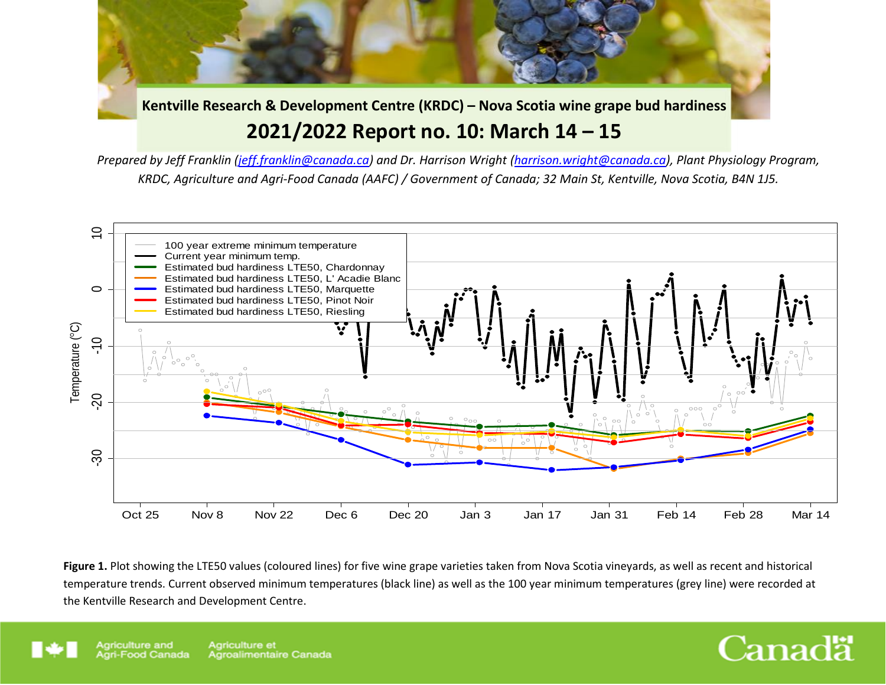**Kentville Research & Development Centre (KRDC) – Nova Scotia wine grape bud hardiness 2021/2022 Report no. 10: March 14 – 15**

*Prepared by Jeff Franklin [\(jeff.franklin@canada.ca\)](mailto:jeff.franklin@canada.ca) and Dr. Harrison Wright [\(harrison.wright@canada.ca\)](mailto:harrison.wright@canada.ca), Plant Physiology Program, KRDC, Agriculture and Agri-Food Canada (AAFC) / Government of Canada; 32 Main St, Kentville, Nova Scotia, B4N 1J5.*



Figure 1. Plot showing the LTE50 values (coloured lines) for five wine grape varieties taken from Nova Scotia vineyards, as well as recent and historical temperature trends. Current observed minimum temperatures (black line) as well as the 100 year minimum temperatures (grey line) were recorded at



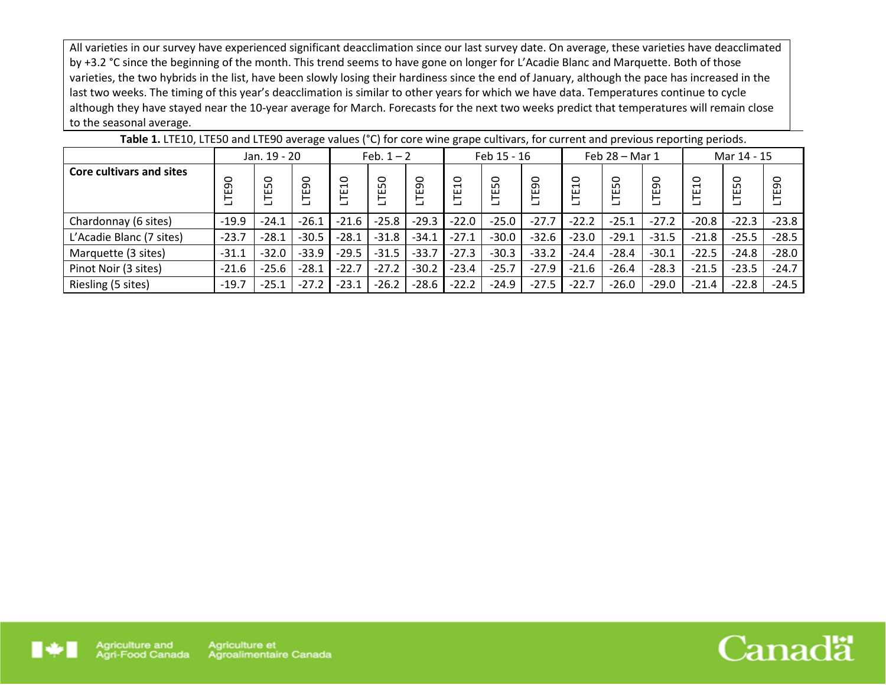All varieties in our survey have experienced significant deacclimation since our last survey date. On average, these varieties have deacclimated by +3.2 °C since the beginning of the month. This trend seems to have gone on longer for L'Acadie Blanc and Marquette. Both of those varieties, the two hybrids in the list, have been slowly losing their hardiness since the end of January, although the pace has increased in the last two weeks. The timing of this year's deacclimation is similar to other years for which we have data. Temperatures continue to cycle although they have stayed near the 10-year average for March. Forecasts for the next two weeks predict that temperatures will remain close to the seasonal average.

| <b>TWATER AT LITERAL CONTRACTED AND ANOTHER PRINCIPLY AND ANOTHER CONTRACT CALL CALL CALL CATHOLIC POST CHOOD.</b> |              |                        |         |                     |         |         |                                |           |         |                |         |              |                          |         |         |
|--------------------------------------------------------------------------------------------------------------------|--------------|------------------------|---------|---------------------|---------|---------|--------------------------------|-----------|---------|----------------|---------|--------------|--------------------------|---------|---------|
|                                                                                                                    | Jan. 19 - 20 |                        |         | Feb. $1 - 2$        |         |         | Feb 15 - 16                    |           |         | Feb 28 - Mar 1 |         |              | Mar 14 - 15              |         |         |
| <b>Core cultivars and sites</b>                                                                                    | ဓ            | $\circ$<br>ഥ<br>ш<br>⊢ | LTE90   | $\overline{a}$<br>Ë | LTE50   | LTE90   | $\circ$<br>$\blacksquare$<br>٣ | 50<br>نبر | ခ<br>户  | $\Omega$<br>胃  | ○<br>LO | 90<br>ш<br>⊢ | $\overline{a}$<br>ш<br>⊢ | 50<br>Ë | LTE90   |
| Chardonnay (6 sites)                                                                                               | $-19.9$      | $-24.1$                | $-26.1$ | $-21.6$             | $-25.8$ | $-29.3$ | $-22.0$                        | $-25.0$   | $-27.7$ | $-22.2$        | $-25.1$ | $-27.2$      | $-20.8$                  | $-22.3$ | $-23.8$ |
| L'Acadie Blanc (7 sites)                                                                                           | $-23.7$      | $-28.1$                | $-30.5$ | $-28.1$             | $-31.8$ | $-34.1$ | $-27.1$                        | $-30.0$   | $-32.6$ | $-23.0$        | $-29.1$ | $-31.5$      | $-21.8$                  | $-25.5$ | $-28.5$ |
| Marquette (3 sites)                                                                                                | $-31.1$      | $-32.0$                | $-33.9$ | $-29.5$             | $-31.5$ | $-33.7$ | $-27.3$                        | $-30.3$   | $-33.2$ | $-24.4$        | $-28.4$ | $-30.1$      | $-22.5$                  | $-24.8$ | $-28.0$ |
| Pinot Noir (3 sites)                                                                                               | $-21.6$      | $-25.6$                | $-28.1$ | $-22.7$             | $-27.2$ | $-30.2$ | $-23.4$                        | $-25.7$   | $-27.9$ | $-21.6$        | $-26.4$ | $-28.3$      | $-21.5$                  | $-23.5$ | $-24.7$ |
| Riesling (5 sites)                                                                                                 | $-19.7$      | $-25.1$                | $-27.2$ | $-23.1$             | $-26.2$ | $-28.6$ | $-22.2$                        | $-24.9$   | $-27.5$ | $-22.7$        | $-26.0$ | $-29.0$      | $-21.4$                  | $-22.8$ | $-24.5$ |

**Table 1.** LTE10, LTE50 and LTE90 average values (°C) for core wine grape cultivars, for current and previous reporting periods.